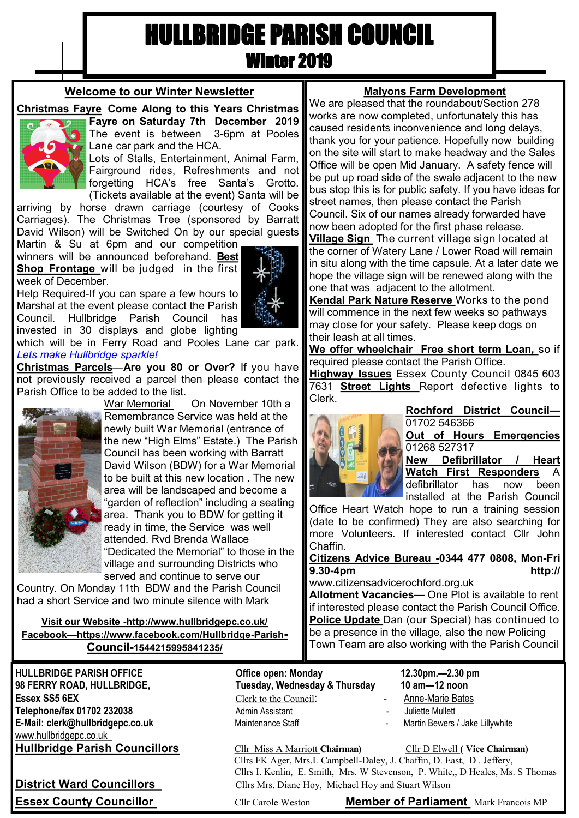# HULLBRIDGE PARISH COUNCIL Winter 2019

# **Welcome to our Winter Newsletter**

# **Christmas Fayre Come Along to this Years Christmas**



**Fayre on Saturday 7th December 2019**  The event is between 3-6pm at Pooles Lane car park and the HCA.

Lots of Stalls, Entertainment, Animal Farm, Fairground rides, Refreshments and not forgetting HCA's free Santa's Grotto. (Tickets available at the event) Santa will be

arriving by horse drawn carriage (courtesy of Cooks Carriages). The Christmas Tree (sponsored by Barratt David Wilson) will be Switched On by our special guests

Martin & Su at 6pm and our competition winners will be announced beforehand. **Best Shop Frontage** will be judged in the first week of December.

Help Required-If you can spare a few hours to Marshal at the event please contact the Parish Council. Hullbridge Parish Council has invested in 30 displays and globe lighting



**Christmas Parcels**—**Are you 80 or Over?** If you have not previously received a parcel then please contact the Parish Office to be added to the list.



War Memorial On November 10th a Remembrance Service was held at the newly built War Memorial (entrance of the new "High Elms" Estate.) The Parish Council has been working with Barratt David Wilson (BDW) for a War Memorial to be built at this new location . The new area will be landscaped and become a "garden of reflection" including a seating area. Thank you to BDW for getting it ready in time, the Service was well attended. Rvd Brenda Wallace "Dedicated the Memorial" to those in the village and surrounding Districts who served and continue to serve our

Country. On Monday 11th BDW and the Parish Council had a short Service and two minute silence with Mark

**Visit our Website -http://www.hullbridgepc.co.uk/ Facebook—https://www.facebook.com/Hullbridge-Parish-Council-1544215995841235/**

**HULLBRIDGE PARISH OFFICE Office open: Monday 12.30pm.—2.30 pm 98 FERRY ROAD, HULLBRIDGE, Tuesday, Wednesday & Thursday 10 am—12 noon Essex SS5 6EX** Clerk to the Council: - Anne-Marie Bates **Telephone/fax 01702 232038** Admin Assistant **- Admin Assistant** - Juliette Mullett E-Mail: clerk@hullbridgepc.co.uk Maintenance Staff - Martin Bewers / Jake Lillywhite www.hullbridgepc.co.uk

- 
- 
- 

**Hullbridge Parish Councillors** Cllr Miss A Marriott **Chairman)** Cllr D Elwell **( Vice Chairman)** Cllrs FK Ager, Mrs.L Campbell-Daley, J. Chaffin, D. East, D . Jeffery, Cllrs I. Kenlin, E. Smith, Mrs. W Stevenson, P. White,, D Heales, Ms. S Thomas **District Ward Councillors** Cllrs Mrs. Diane Hoy, Michael Hoy and Stuart Wilson

**Essex County Councillor Cllr Carole Weston Member of Parliament** Mark Francois MP

# **Malyons Farm Development**

We are pleased that the roundabout/Section 278 works are now completed, unfortunately this has caused residents inconvenience and long delays, thank you for your patience. Hopefully now building on the site will start to make headway and the Sales Office will be open Mid January. A safety fence will be put up road side of the swale adjacent to the new bus stop this is for public safety. If you have ideas for street names, then please contact the Parish Council. Six of our names already forwarded have now been adopted for the first phase release.

**Village Sign** The current village sign located at the corner of Watery Lane / Lower Road will remain in situ along with the time capsule. At a later date we hope the village sign will be renewed along with the one that was adjacent to the allotment.

**Kendal Park Nature Reserve** Works to the pond will commence in the next few weeks so pathways may close for your safety. Please keep dogs on their leash at all times.

**We offer wheelchair Free short term Loan,** so if required please contact the Parish Office.

**Highway Issues** Essex County Council 0845 603 7631 **Street Lights** Report defective lights to Clerk.



**Rochford District Council—** 01702 546366

**Out of Hours Emergencies**  01268 527317

**New Defibrillator / Heart Watch First Responders** A defibrillator has now been installed at the Parish Council

Office Heart Watch hope to run a training session (date to be confirmed) They are also searching for more Volunteers. If interested contact Cllr John Chaffin.

# **Citizens Advice Bureau -0344 477 0808, Mon-Fri 9.30-4pm http://**

www.citizensadvicerochford.org.uk

**Allotment Vacancies—** One Plot is available to rent if interested please contact the Parish Council Office. **Police Update** Dan (our Special) has continued to be a presence in the village, also the new Policing Town Team are also working with the Parish Council